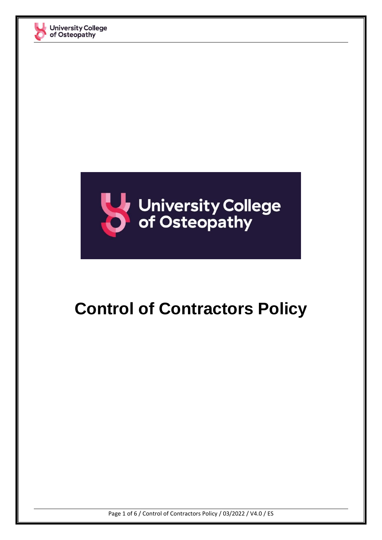



## **Control of Contractors Policy**

Page 1 of 6 / Control of Contractors Policy / 03/2022 / V4.0 / ES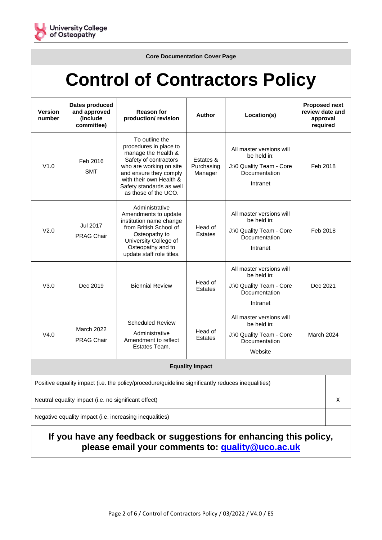

**Core Documentation Cover Page**

# **Control of Contractors Policy**

| Version<br>number                                                                                 | Dates produced<br>and approved<br>(include<br>committee) | <b>Reason for</b><br>production/ revision                                                                                                                                                                                    | <b>Author</b>                      | Location(s)                                                                                      | <b>Proposed next</b><br>review date and<br>approval<br>required |  |  |  |
|---------------------------------------------------------------------------------------------------|----------------------------------------------------------|------------------------------------------------------------------------------------------------------------------------------------------------------------------------------------------------------------------------------|------------------------------------|--------------------------------------------------------------------------------------------------|-----------------------------------------------------------------|--|--|--|
| V1.0                                                                                              | Feb 2016<br><b>SMT</b>                                   | To outline the<br>procedures in place to<br>manage the Health &<br>Safety of contractors<br>who are working on site<br>and ensure they comply<br>with their own Health &<br>Safety standards as well<br>as those of the UCO. | Estates &<br>Purchasing<br>Manager | All master versions will<br>be held in:<br>J:\0 Quality Team - Core<br>Documentation<br>Intranet | Feb 2018                                                        |  |  |  |
| V2.0                                                                                              | Jul 2017<br><b>PRAG Chair</b>                            | Administrative<br>Amendments to update<br>institution name change<br>from British School of<br>Osteopathy to<br>University College of<br>Osteopathy and to<br>update staff role titles.                                      | Head of<br><b>Estates</b>          | All master versions will<br>be held in:<br>J:\0 Quality Team - Core<br>Documentation<br>Intranet | Feb 2018                                                        |  |  |  |
| V3.0                                                                                              | Dec 2019                                                 | <b>Biennial Review</b>                                                                                                                                                                                                       | Head of<br><b>Estates</b>          | All master versions will<br>be held in:<br>J:\0 Quality Team - Core<br>Documentation<br>Intranet | Dec 2021                                                        |  |  |  |
| V4.0                                                                                              | <b>March 2022</b><br><b>PRAG Chair</b>                   | <b>Scheduled Review</b><br>Administrative<br>Amendment to reflect<br>Estates Team.                                                                                                                                           | Head of<br><b>Estates</b>          | All master versions will<br>be held in:<br>J:\0 Quality Team - Core<br>Documentation<br>Website  | March 2024                                                      |  |  |  |
| <b>Equality Impact</b>                                                                            |                                                          |                                                                                                                                                                                                                              |                                    |                                                                                                  |                                                                 |  |  |  |
| Positive equality impact (i.e. the policy/procedure/guideline significantly reduces inequalities) |                                                          |                                                                                                                                                                                                                              |                                    |                                                                                                  |                                                                 |  |  |  |
| Neutral equality impact (i.e. no significant effect)                                              |                                                          |                                                                                                                                                                                                                              |                                    |                                                                                                  |                                                                 |  |  |  |
| Negative equality impact (i.e. increasing inequalities)                                           |                                                          |                                                                                                                                                                                                                              |                                    |                                                                                                  |                                                                 |  |  |  |
|                                                                                                   |                                                          |                                                                                                                                                                                                                              |                                    |                                                                                                  |                                                                 |  |  |  |

#### **If you have any feedback or suggestions for enhancing this policy, please email your comments to: [quality@uco.ac.uk](mailto:quality@uco.ac.uk)**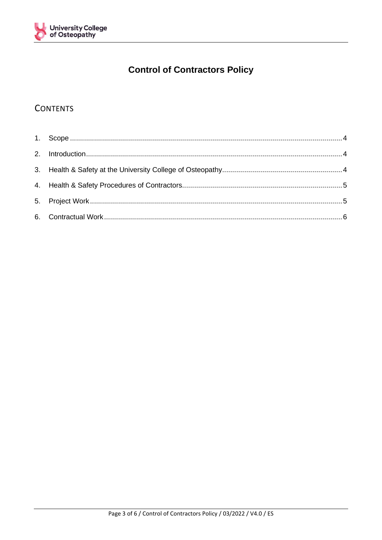

## **Control of Contractors Policy**

### **CONTENTS**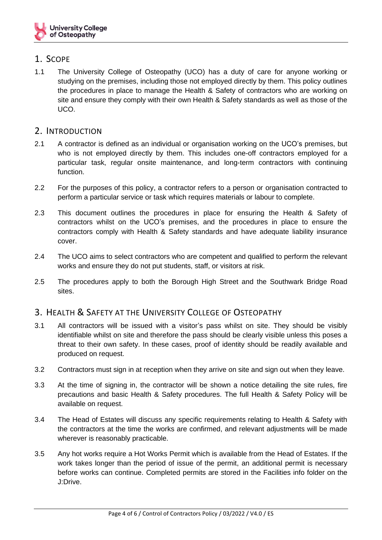

#### <span id="page-3-0"></span>1. SCOPE

1.1 The University College of Osteopathy (UCO) has a duty of care for anyone working or studying on the premises, including those not employed directly by them. This policy outlines the procedures in place to manage the Health & Safety of contractors who are working on site and ensure they comply with their own Health & Safety standards as well as those of the UCO.

#### <span id="page-3-1"></span>2. INTRODUCTION

- 2.1 A contractor is defined as an individual or organisation working on the UCO's premises, but who is not employed directly by them. This includes one-off contractors employed for a particular task, regular onsite maintenance, and long-term contractors with continuing function.
- 2.2 For the purposes of this policy, a contractor refers to a person or organisation contracted to perform a particular service or task which requires materials or labour to complete.
- 2.3 This document outlines the procedures in place for ensuring the Health & Safety of contractors whilst on the UCO's premises, and the procedures in place to ensure the contractors comply with Health & Safety standards and have adequate liability insurance cover.
- 2.4 The UCO aims to select contractors who are competent and qualified to perform the relevant works and ensure they do not put students, staff, or visitors at risk.
- 2.5 The procedures apply to both the Borough High Street and the Southwark Bridge Road sites.

#### <span id="page-3-2"></span>3. HEALTH & SAFETY AT THE UNIVERSITY COLLEGE OF OSTEOPATHY

- 3.1 All contractors will be issued with a visitor's pass whilst on site. They should be visibly identifiable whilst on site and therefore the pass should be clearly visible unless this poses a threat to their own safety. In these cases, proof of identity should be readily available and produced on request.
- 3.2 Contractors must sign in at reception when they arrive on site and sign out when they leave.
- 3.3 At the time of signing in, the contractor will be shown a notice detailing the site rules, fire precautions and basic Health & Safety procedures. The full Health & Safety Policy will be available on request.
- 3.4 The Head of Estates will discuss any specific requirements relating to Health & Safety with the contractors at the time the works are confirmed, and relevant adjustments will be made wherever is reasonably practicable.
- 3.5 Any hot works require a Hot Works Permit which is available from the Head of Estates. If the work takes longer than the period of issue of the permit, an additional permit is necessary before works can continue. Completed permits are stored in the Facilities info folder on the J:Drive.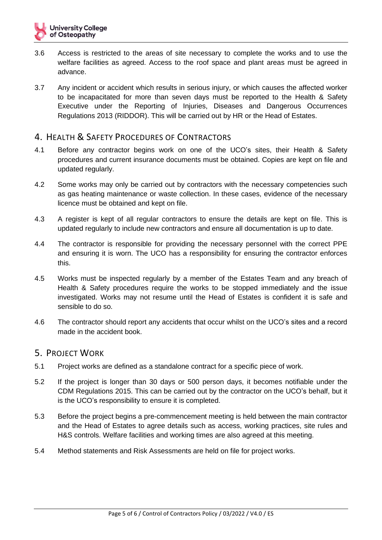- 3.6 Access is restricted to the areas of site necessary to complete the works and to use the welfare facilities as agreed. Access to the roof space and plant areas must be agreed in advance.
- 3.7 Any incident or accident which results in serious injury, or which causes the affected worker to be incapacitated for more than seven days must be reported to the Health & Safety Executive under the Reporting of Injuries, Diseases and Dangerous Occurrences Regulations 2013 (RIDDOR). This will be carried out by HR or the Head of Estates.

#### <span id="page-4-0"></span>4. HEALTH & SAFETY PROCEDURES OF CONTRACTORS

- 4.1 Before any contractor begins work on one of the UCO's sites, their Health & Safety procedures and current insurance documents must be obtained. Copies are kept on file and updated regularly.
- 4.2 Some works may only be carried out by contractors with the necessary competencies such as gas heating maintenance or waste collection. In these cases, evidence of the necessary licence must be obtained and kept on file.
- 4.3 A register is kept of all regular contractors to ensure the details are kept on file. This is updated regularly to include new contractors and ensure all documentation is up to date.
- 4.4 The contractor is responsible for providing the necessary personnel with the correct PPE and ensuring it is worn. The UCO has a responsibility for ensuring the contractor enforces this.
- 4.5 Works must be inspected regularly by a member of the Estates Team and any breach of Health & Safety procedures require the works to be stopped immediately and the issue investigated. Works may not resume until the Head of Estates is confident it is safe and sensible to do so.
- 4.6 The contractor should report any accidents that occur whilst on the UCO's sites and a record made in the accident book.

#### <span id="page-4-1"></span>5. PROJECT WORK

- 5.1 Project works are defined as a standalone contract for a specific piece of work.
- 5.2 If the project is longer than 30 days or 500 person days, it becomes notifiable under the CDM Regulations 2015. This can be carried out by the contractor on the UCO's behalf, but it is the UCO's responsibility to ensure it is completed.
- 5.3 Before the project begins a pre-commencement meeting is held between the main contractor and the Head of Estates to agree details such as access, working practices, site rules and H&S controls. Welfare facilities and working times are also agreed at this meeting.
- 5.4 Method statements and Risk Assessments are held on file for project works.